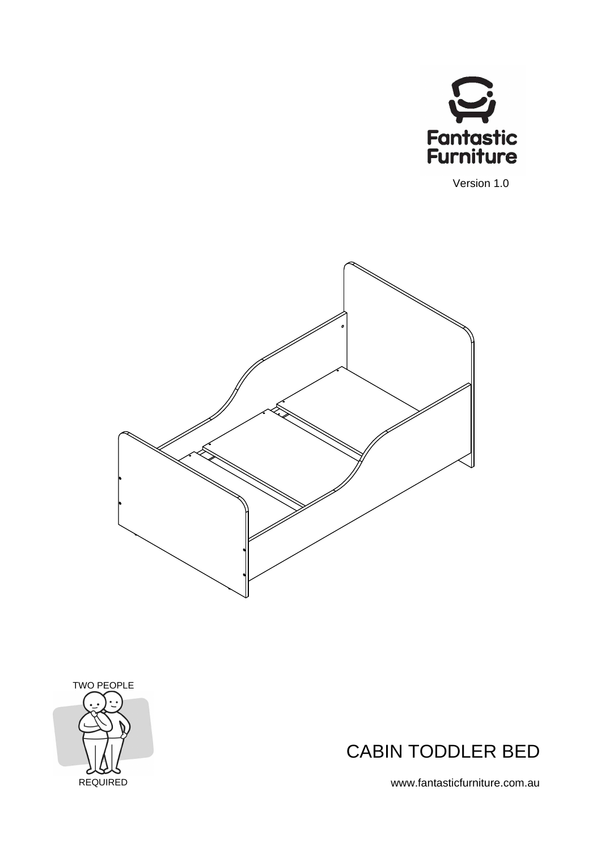

Version 1.0







www.fantasticfurniture.com.au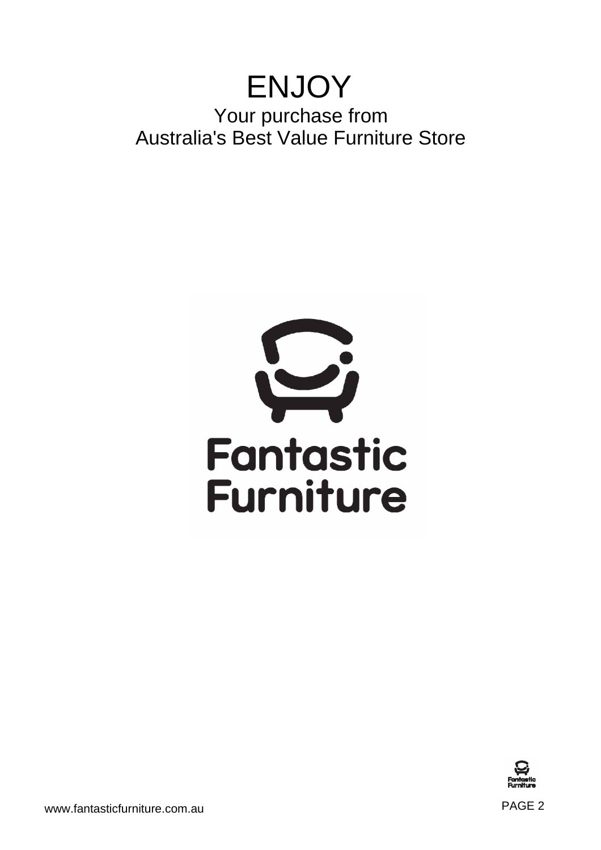## ENJOY Your purchase from Australia's Best Value Furniture Store





www.fantasticfurniture.com.au entitled and the state of the state of the PAGE 2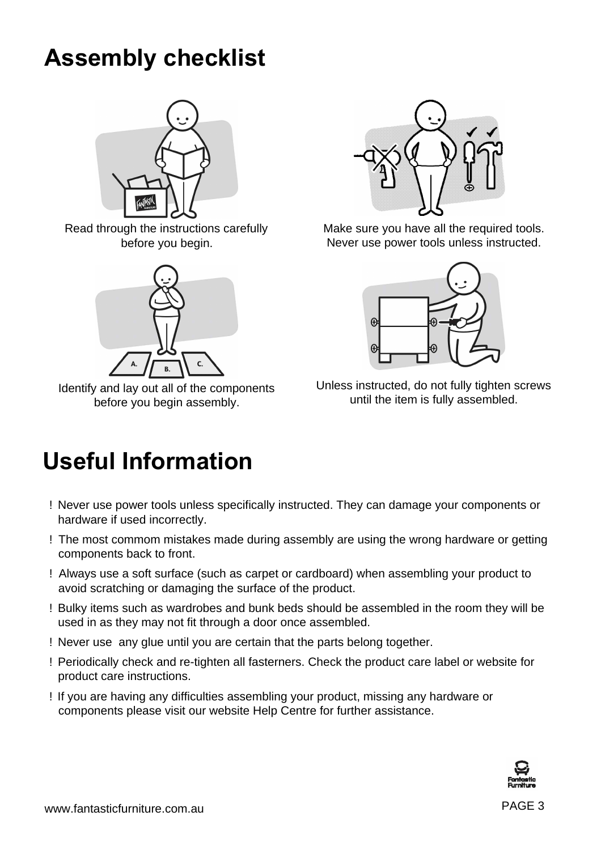# **Assembly checklist**



Read through the instructions carefully before you begin.



Identify and lay out all of the components before you begin assembly.



Make sure you have all the required tools. Never use power tools unless instructed.



Unless instructed, do not fully tighten screws until the item is fully assembled.

# **Useful Information**

- ! Never use power tools unless specifically instructed. They can damage your components or hardware if used incorrectly.
- ! The most commom mistakes made during assembly are using the wrong hardware or getting components back to front.
- ! Always use a soft surface (such as carpet or cardboard) when assembling your product to avoid scratching or damaging the surface of the product.
- ! Bulky items such as wardrobes and bunk beds should be assembled in the room they will be used in as they may not fit through a door once assembled.
- ! Never use any glue until you are certain that the parts belong together.
- ! Periodically check and re-tighten all fasterners. Check the product care label or website for product care instructions.
- ! If you are having any difficulties assembling your product, missing any hardware or components please visit our website Help Centre for further assistance.

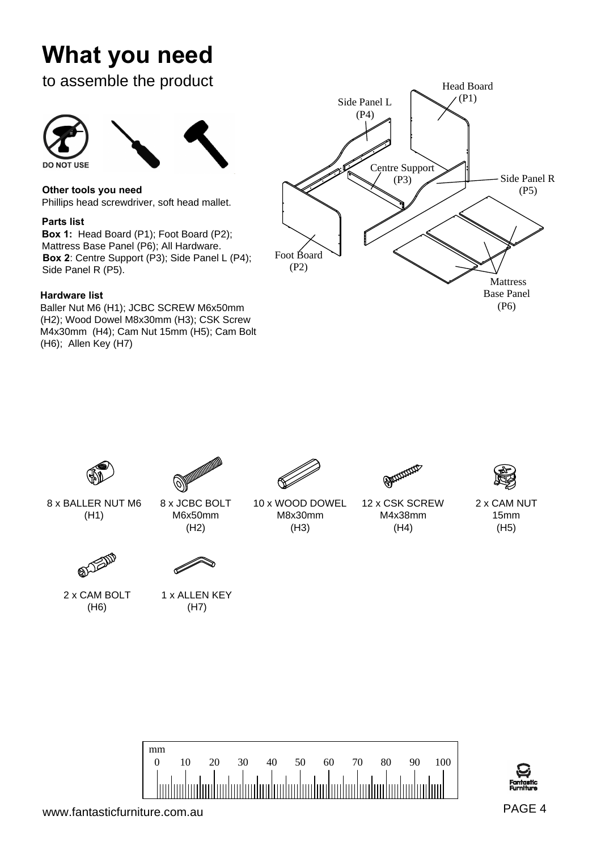# **What you need**

### to assemble the product



**Other tools you need**

Phillips head screwdriver, soft head mallet.

### **Parts list**

**Box 1:** Head Board (P1); Foot Board (P2); Mattress Base Panel (P6); All Hardware. **Box 2**: Centre Support (P3); Side Panel L (P4); Side Panel R (P5).

### **Hardware list**

Baller Nut M6 (H1); JCBC SCREW M6x50mm (H2); Wood Dowel M8x30mm (H3); CSK Screw M4x30mm (H4); Cam Nut 15mm (H5); Cam Bolt (H6); Allen Key (H7)





www.fantasticfurniture.com.au extensive that the extension of the extension of the extension of the extension of  $PAGE 4$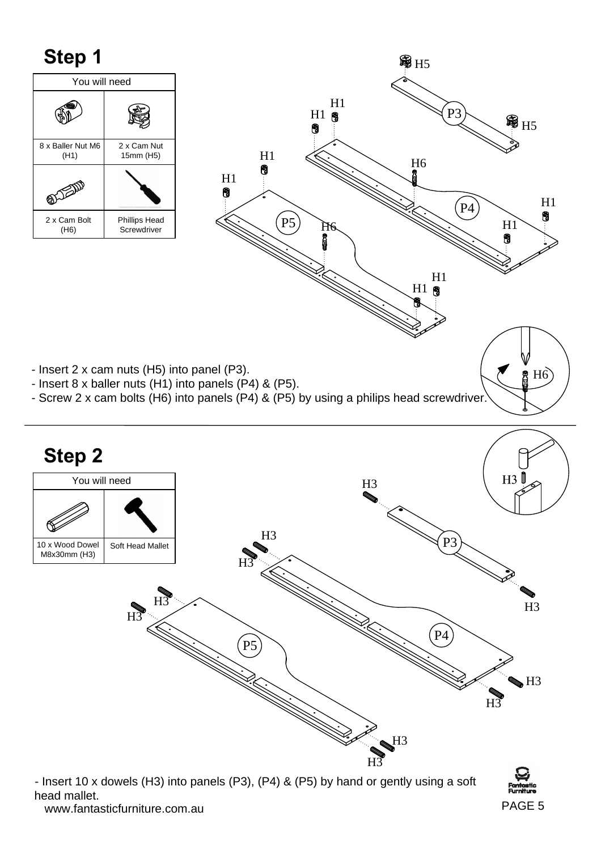## **Step 1**





- Insert 2 x cam nuts (H5) into panel (P3).
- Insert 8 x baller nuts (H1) into panels (P4) & (P5).
- Screw 2 x cam bolts (H6) into panels (P4) & (P5) by using a philips head screwdriver.



www.fantasticfurniture.com.au PAGE 5 - Insert 10 x dowels (H3) into panels (P3), (P4) & (P5) by hand or gently using a soft head mallet.

 $H<sub>6</sub>$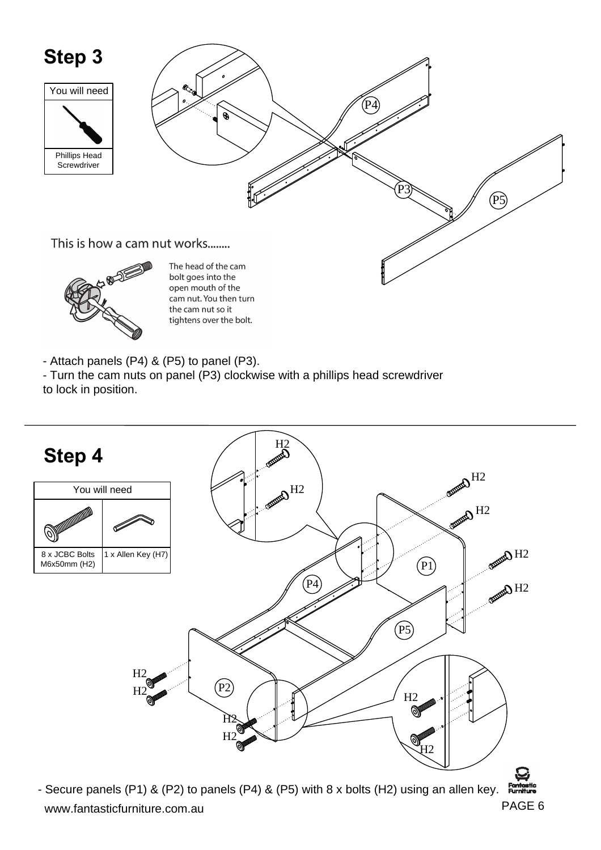

- Attach panels (P4) & (P5) to panel (P3).
- Turn the cam nuts on panel (P3) clockwise with a phillips head screwdriver
- to lock in position.



www.fantasticfurniture.com.au extensive that the extension of the extension of the extension of the extension of  $PAGE 6$